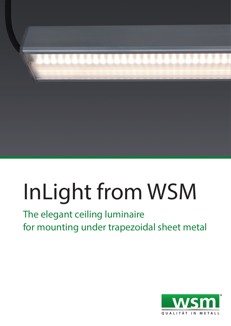

## InLight from WSM

The elegant ceiling luminaire for mounting under trapezoidal sheet metal